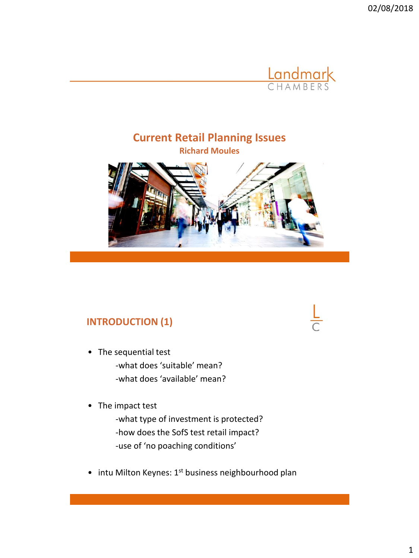02/08/2018



## **Current Retail Planning Issues Richard Moules**



## **INTRODUCTION (1)**

- The sequential test -what does 'suitable' mean? -what does 'available' mean?
- The impact test

-what type of investment is protected? -how does the SofS test retail impact? -use of 'no poaching conditions'

• intu Milton Keynes: 1<sup>st</sup> business neighbourhood plan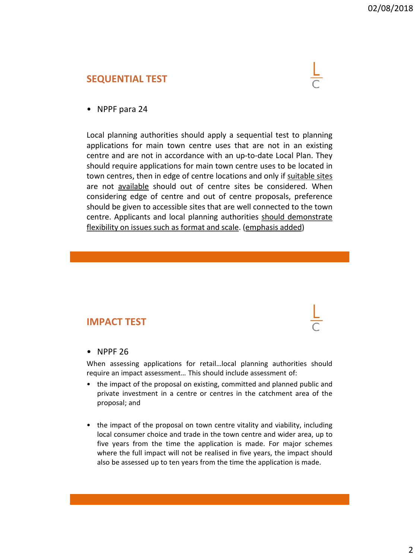### **SEQUENTIAL TEST**



• NPPF para 24

Local planning authorities should apply a sequential test to planning applications for main town centre uses that are not in an existing centre and are not in accordance with an up-to-date Local Plan. They should require applications for main town centre uses to be located in town centres, then in edge of centre locations and only if suitable sites are not available should out of centre sites be considered. When considering edge of centre and out of centre proposals, preference should be given to accessible sites that are well connected to the town centre. Applicants and local planning authorities should demonstrate flexibility on issues such as format and scale. (emphasis added)

## **IMPACT TEST**

### • NPPF 26

When assessing applications for retail…local planning authorities should require an impact assessment… This should include assessment of:

- the impact of the proposal on existing, committed and planned public and private investment in a centre or centres in the catchment area of the proposal; and
- the impact of the proposal on town centre vitality and viability, including local consumer choice and trade in the town centre and wider area, up to five years from the time the application is made. For major schemes where the full impact will not be realised in five years, the impact should also be assessed up to ten years from the time the application is made.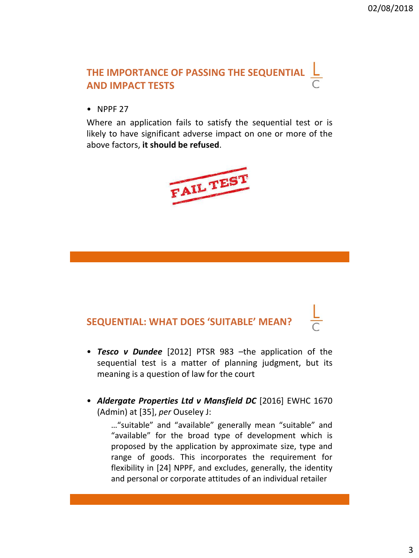## **THE IMPORTANCE OF PASSING THE SEQUENTIAL AND IMPACT TESTS**

• NPPF 27

Where an application fails to satisfy the sequential test or is likely to have significant adverse impact on one or more of the above factors, **it should be refused**.



# **SEQUENTIAL: WHAT DOES 'SUITABLE' MEAN?**

- *Tesco v Dundee* [2012] PTSR 983 –the application of the sequential test is a matter of planning judgment, but its meaning is a question of law for the court
- *Aldergate Properties Ltd v Mansfield DC* [2016] EWHC 1670 (Admin) at [35], *per* Ouseley J:

…"suitable" and "available" generally mean "suitable" and "available" for the broad type of development which is proposed by the application by approximate size, type and range of goods. This incorporates the requirement for flexibility in [24] NPPF, and excludes, generally, the identity and personal or corporate attitudes of an individual retailer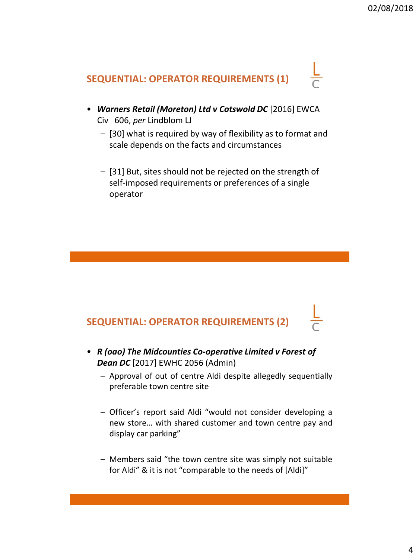

- *Warners Retail (Moreton) Ltd v Cotswold DC* [2016] EWCA Civ 606, *per* Lindblom LJ
	- [30] what is required by way of flexibility as to format and scale depends on the facts and circumstances
	- [31] But, sites should not be rejected on the strength of self-imposed requirements or preferences of a single operator

# **SEQUENTIAL: OPERATOR REQUIREMENTS (2)**

- *R (oao) The Midcounties Co-operative Limited v Forest of Dean DC* [2017] EWHC 2056 (Admin)
	- Approval of out of centre Aldi despite allegedly sequentially preferable town centre site
	- Officer's report said Aldi "would not consider developing a new store… with shared customer and town centre pay and display car parking"
	- Members said "the town centre site was simply not suitable for Aldi" & it is not "comparable to the needs of [Aldi]"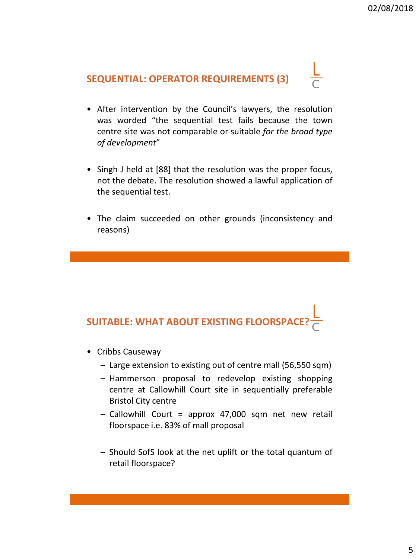# **SEQUENTIAL: OPERATOR REQUIREMENTS (3)**



- After intervention by the Council's lawyers, the resolution was worded "the sequential test fails because the town centre site was not comparable or suitable *for the broad type of development*"
- Singh J held at [88] that the resolution was the proper focus, not the debate. The resolution showed a lawful application of the sequential test.
- The claim succeeded on other grounds (inconsistency and reasons)

# **SUITABLE: WHAT ABOUT EXISTING FLOORSPAC**

- Cribbs Causeway
	- Large extension to existing out of centre mall (56,550 sqm)
	- Hammerson proposal to redevelop existing shopping centre at Callowhill Court site in sequentially preferable Bristol City centre
	- Callowhill Court = approx 47,000 sqm net new retail floorspace i.e. 83% of mall proposal
	- Should SofS look at the net uplift or the total quantum of retail floorspace?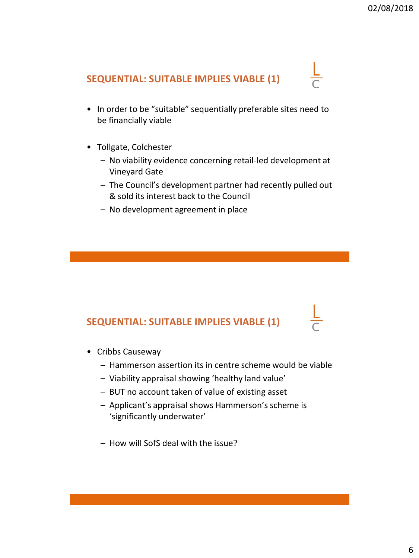## **SEQUENTIAL: SUITABLE IMPLIES VIABLE (1)**

- In order to be "suitable" sequentially preferable sites need to be financially viable
- Tollgate, Colchester
	- No viability evidence concerning retail-led development at Vineyard Gate
	- The Council's development partner had recently pulled out & sold its interest back to the Council
	- No development agreement in place

## **SEQUENTIAL: SUITABLE IMPLIES VIABLE (1)**

- Cribbs Causeway
	- Hammerson assertion its in centre scheme would be viable
	- Viability appraisal showing 'healthy land value'
	- BUT no account taken of value of existing asset
	- Applicant's appraisal shows Hammerson's scheme is 'significantly underwater'
	- How will SofS deal with the issue?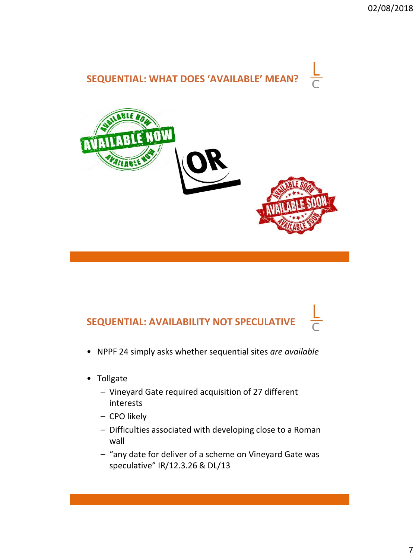

# **SEQUENTIAL: AVAILABILITY NOT SPECULATIVE**

- NPPF 24 simply asks whether sequential sites *are available*
- Tollgate
	- Vineyard Gate required acquisition of 27 different interests
	- CPO likely
	- Difficulties associated with developing close to a Roman wall
	- "any date for deliver of a scheme on Vineyard Gate was speculative" IR/12.3.26 & DL/13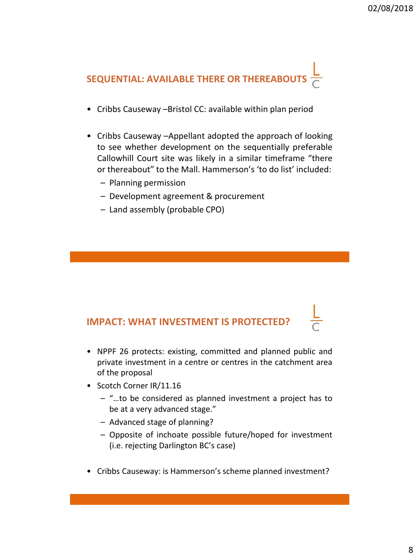

- Cribbs Causeway –Bristol CC: available within plan period
- Cribbs Causeway –Appellant adopted the approach of looking to see whether development on the sequentially preferable Callowhill Court site was likely in a similar timeframe "there or thereabout" to the Mall. Hammerson's 'to do list' included:
	- Planning permission
	- Development agreement & procurement
	- Land assembly (probable CPO)

## **IMPACT: WHAT INVESTMENT IS PROTECTED?**

- NPPF 26 protects: existing, committed and planned public and private investment in a centre or centres in the catchment area of the proposal
- Scotch Corner IR/11.16
	- "…to be considered as planned investment a project has to be at a very advanced stage."
	- Advanced stage of planning?
	- Opposite of inchoate possible future/hoped for investment (i.e. rejecting Darlington BC's case)
- Cribbs Causeway: is Hammerson's scheme planned investment?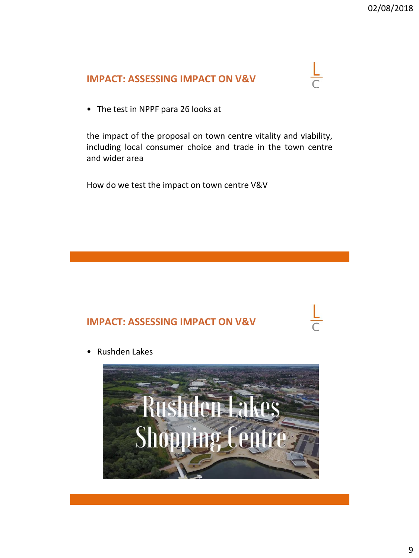## **IMPACT: ASSESSING IMPACT ON V&V**



• The test in NPPF para 26 looks at

the impact of the proposal on town centre vitality and viability, including local consumer choice and trade in the town centre and wider area

How do we test the impact on town centre V&V

## **IMPACT: ASSESSING IMPACT ON V&V**

• Rushden Lakes

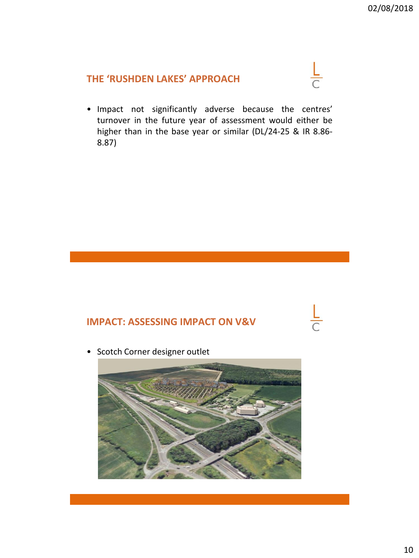## **THE 'RUSHDEN LAKES' APPROACH**

• Impact not significantly adverse because the centres' turnover in the future year of assessment would either be higher than in the base year or similar (DL/24-25 & IR 8.86- 8.87)

## **IMPACT: ASSESSING IMPACT ON V&V**

• Scotch Corner designer outlet

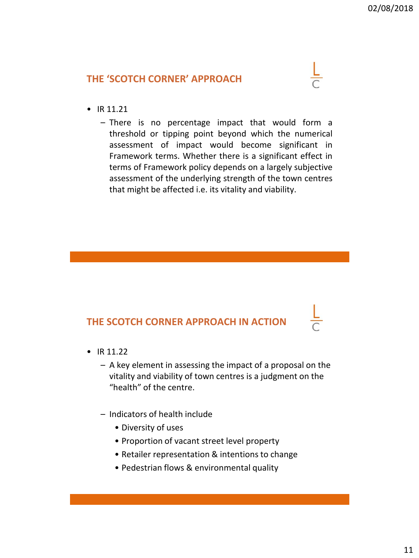## **THE 'SCOTCH CORNER' APPROACH**

- IR 11.21
	- There is no percentage impact that would form a threshold or tipping point beyond which the numerical assessment of impact would become significant in Framework terms. Whether there is a significant effect in terms of Framework policy depends on a largely subjective assessment of the underlying strength of the town centres that might be affected i.e. its vitality and viability.

## **THE SCOTCH CORNER APPROACH IN ACTION**

- IR  $11.22$ 
	- A key element in assessing the impact of a proposal on the vitality and viability of town centres is a judgment on the "health" of the centre.
	- Indicators of health include
		- Diversity of uses
		- Proportion of vacant street level property
		- Retailer representation & intentions to change
		- Pedestrian flows & environmental quality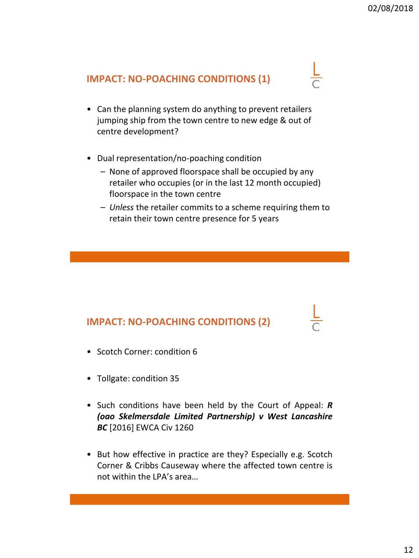## **IMPACT: NO-POACHING CONDITIONS (1)**

- Can the planning system do anything to prevent retailers jumping ship from the town centre to new edge & out of centre development?
- Dual representation/no-poaching condition
	- None of approved floorspace shall be occupied by any retailer who occupies (or in the last 12 month occupied) floorspace in the town centre
	- *Unless* the retailer commits to a scheme requiring them to retain their town centre presence for 5 years

## **IMPACT: NO-POACHING CONDITIONS (2)**

- Scotch Corner: condition 6
- Tollgate: condition 35
- Such conditions have been held by the Court of Appeal: *R (oao Skelmersdale Limited Partnership) v West Lancashire BC* [2016] EWCA Civ 1260
- But how effective in practice are they? Especially e.g. Scotch Corner & Cribbs Causeway where the affected town centre is not within the LPA's area…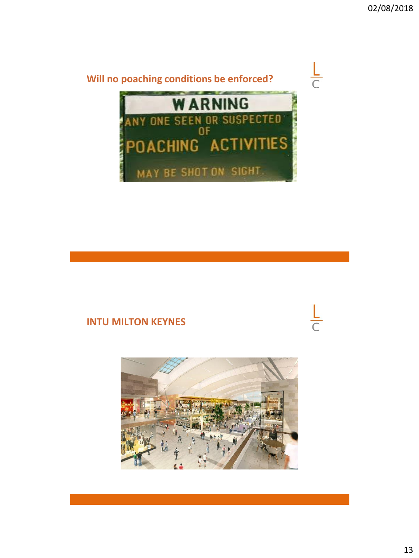

## **INTU MILTON KEYNES**



13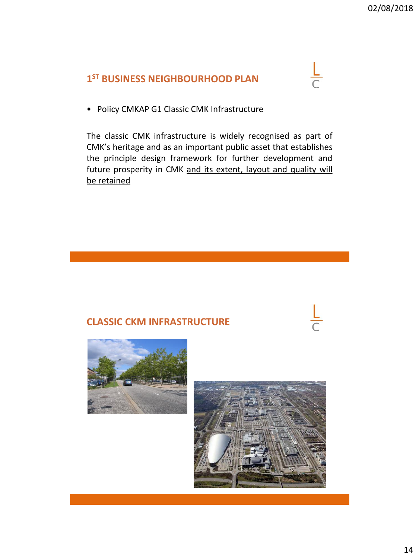## **1 ST BUSINESS NEIGHBOURHOOD PLAN**



• Policy CMKAP G1 Classic CMK Infrastructure

The classic CMK infrastructure is widely recognised as part of CMK's heritage and as an important public asset that establishes the principle design framework for further development and future prosperity in CMK and its extent, layout and quality will be retained

## **CLASSIC CKM INFRASTRUCTURE**